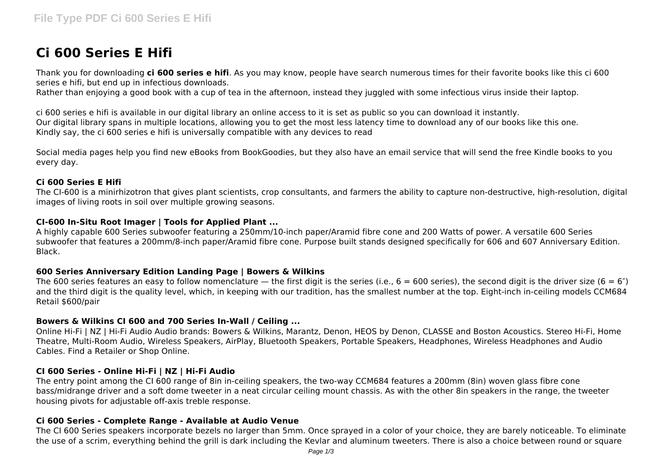# **Ci 600 Series E Hifi**

Thank you for downloading **ci 600 series e hifi**. As you may know, people have search numerous times for their favorite books like this ci 600 series e hifi, but end up in infectious downloads.

Rather than enjoying a good book with a cup of tea in the afternoon, instead they juggled with some infectious virus inside their laptop.

ci 600 series e hifi is available in our digital library an online access to it is set as public so you can download it instantly. Our digital library spans in multiple locations, allowing you to get the most less latency time to download any of our books like this one. Kindly say, the ci 600 series e hifi is universally compatible with any devices to read

Social media pages help you find new eBooks from BookGoodies, but they also have an email service that will send the free Kindle books to you every day.

## **Ci 600 Series E Hifi**

The CI-600 is a minirhizotron that gives plant scientists, crop consultants, and farmers the ability to capture non-destructive, high-resolution, digital images of living roots in soil over multiple growing seasons.

## **CI-600 In-Situ Root Imager | Tools for Applied Plant ...**

A highly capable 600 Series subwoofer featuring a 250mm/10-inch paper/Aramid fibre cone and 200 Watts of power. A versatile 600 Series subwoofer that features a 200mm/8-inch paper/Aramid fibre cone. Purpose built stands designed specifically for 606 and 607 Anniversary Edition. Black.

#### **600 Series Anniversary Edition Landing Page | Bowers & Wilkins**

The 600 series features an easy to follow nomenclature — the first digit is the series (i.e.,  $6 = 600$  series), the second digit is the driver size ( $6 = 6$ ") and the third digit is the quality level, which, in keeping with our tradition, has the smallest number at the top. Eight-inch in-ceiling models CCM684 Retail \$600/pair

## **Bowers & Wilkins CI 600 and 700 Series In-Wall / Ceiling ...**

Online Hi-Fi | NZ | Hi-Fi Audio Audio brands: Bowers & Wilkins, Marantz, Denon, HEOS by Denon, CLASSE and Boston Acoustics. Stereo Hi-Fi, Home Theatre, Multi-Room Audio, Wireless Speakers, AirPlay, Bluetooth Speakers, Portable Speakers, Headphones, Wireless Headphones and Audio Cables. Find a Retailer or Shop Online.

#### **CI 600 Series - Online Hi-Fi | NZ | Hi-Fi Audio**

The entry point among the CI 600 range of 8in in-ceiling speakers, the two-way CCM684 features a 200mm (8in) woven glass fibre cone bass/midrange driver and a soft dome tweeter in a neat circular ceiling mount chassis. As with the other 8in speakers in the range, the tweeter housing pivots for adjustable off-axis treble response.

#### **Ci 600 Series - Complete Range - Available at Audio Venue**

The CI 600 Series speakers incorporate bezels no larger than 5mm. Once sprayed in a color of your choice, they are barely noticeable. To eliminate the use of a scrim, everything behind the grill is dark including the Kevlar and aluminum tweeters. There is also a choice between round or square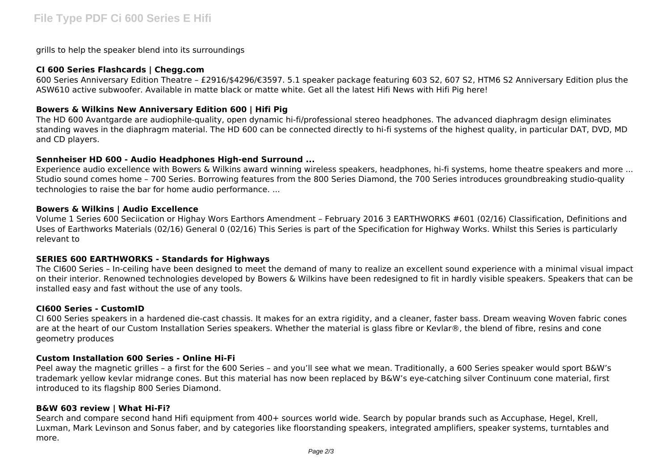grills to help the speaker blend into its surroundings

### **CI 600 Series Flashcards | Chegg.com**

600 Series Anniversary Edition Theatre – £2916/\$4296/€3597. 5.1 speaker package featuring 603 S2, 607 S2, HTM6 S2 Anniversary Edition plus the ASW610 active subwoofer. Available in matte black or matte white. Get all the latest Hifi News with Hifi Pig here!

### **Bowers & Wilkins New Anniversary Edition 600 | Hifi Pig**

The HD 600 Avantgarde are audiophile-quality, open dynamic hi-fi/professional stereo headphones. The advanced diaphragm design eliminates standing waves in the diaphragm material. The HD 600 can be connected directly to hi-fi systems of the highest quality, in particular DAT, DVD, MD and CD players.

#### **Sennheiser HD 600 - Audio Headphones High-end Surround ...**

Experience audio excellence with Bowers & Wilkins award winning wireless speakers, headphones, hi-fi systems, home theatre speakers and more ... Studio sound comes home – 700 Series. Borrowing features from the 800 Series Diamond, the 700 Series introduces groundbreaking studio-quality technologies to raise the bar for home audio performance. ...

#### **Bowers & Wilkins | Audio Excellence**

Volume 1 Series 600 Seciication or Highay Wors Earthors Amendment – February 2016 3 EARTHWORKS #601 (02/16) Classification, Definitions and Uses of Earthworks Materials (02/16) General 0 (02/16) This Series is part of the Specification for Highway Works. Whilst this Series is particularly relevant to

#### **SERIES 600 EARTHWORKS - Standards for Highways**

The CI600 Series – In-ceiling have been designed to meet the demand of many to realize an excellent sound experience with a minimal visual impact on their interior. Renowned technologies developed by Bowers & Wilkins have been redesigned to fit in hardly visible speakers. Speakers that can be installed easy and fast without the use of any tools.

#### **CI600 Series - CustomID**

CI 600 Series speakers in a hardened die-cast chassis. It makes for an extra rigidity, and a cleaner, faster bass. Dream weaving Woven fabric cones are at the heart of our Custom Installation Series speakers. Whether the material is glass fibre or Kevlar®, the blend of fibre, resins and cone geometry produces

#### **Custom Installation 600 Series - Online Hi-Fi**

Peel away the magnetic grilles – a first for the 600 Series – and you'll see what we mean. Traditionally, a 600 Series speaker would sport B&W's trademark yellow kevlar midrange cones. But this material has now been replaced by B&W's eye-catching silver Continuum cone material, first introduced to its flagship 800 Series Diamond.

#### **B&W 603 review | What Hi-Fi?**

Search and compare second hand Hifi equipment from 400+ sources world wide. Search by popular brands such as Accuphase, Hegel, Krell, Luxman, Mark Levinson and Sonus faber, and by categories like floorstanding speakers, integrated amplifiers, speaker systems, turntables and more.